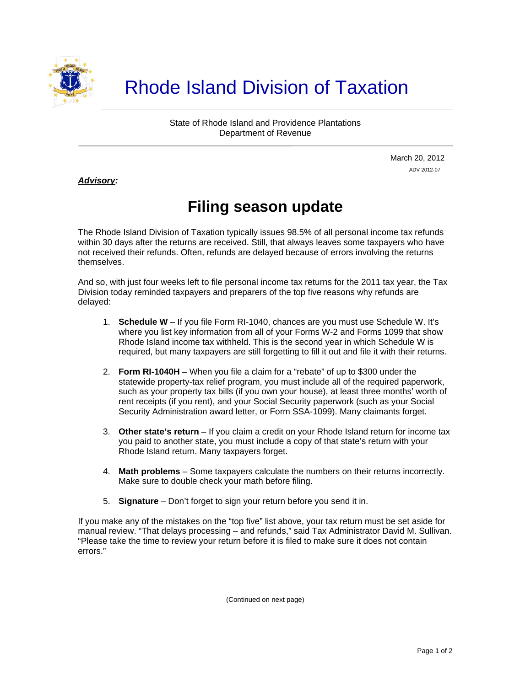

## Rhode Island Division of Taxation

State of Rhode Island and Providence Plantations Department of Revenue

> March 20, 2012 ADV 2012-07

## *Advisory:*

j

## **Filing season update**

The Rhode Island Division of Taxation typically issues 98.5% of all personal income tax refunds within 30 days after the returns are received. Still, that always leaves some taxpayers who have not received their refunds. Often, refunds are delayed because of errors involving the returns themselves.

And so, with just four weeks left to file personal income tax returns for the 2011 tax year, the Tax Division today reminded taxpayers and preparers of the top five reasons why refunds are delayed:

- 1. **Schedule W** If you file Form RI-1040, chances are you must use Schedule W. It's where you list key information from all of your Forms W-2 and Forms 1099 that show Rhode Island income tax withheld. This is the second year in which Schedule W is required, but many taxpayers are still forgetting to fill it out and file it with their returns.
- 2. **Form RI-1040H** When you file a claim for a "rebate" of up to \$300 under the statewide property-tax relief program, you must include all of the required paperwork, such as your property tax bills (if you own your house), at least three months' worth of rent receipts (if you rent), and your Social Security paperwork (such as your Social Security Administration award letter, or Form SSA-1099). Many claimants forget.
- 3. **Other state's return** If you claim a credit on your Rhode Island return for income tax you paid to another state, you must include a copy of that state's return with your Rhode Island return. Many taxpayers forget.
- 4. **Math problems** Some taxpayers calculate the numbers on their returns incorrectly. Make sure to double check your math before filing.
- 5. **Signature** Don't forget to sign your return before you send it in.

If you make any of the mistakes on the "top five" list above, your tax return must be set aside for manual review. "That delays processing – and refunds," said Tax Administrator David M. Sullivan. "Please take the time to review your return before it is filed to make sure it does not contain errors."

(Continued on next page)